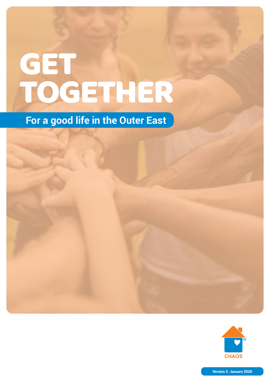# **GET** TOGETHER

# **For a good life in the Outer East**



![](_page_0_Picture_3.jpeg)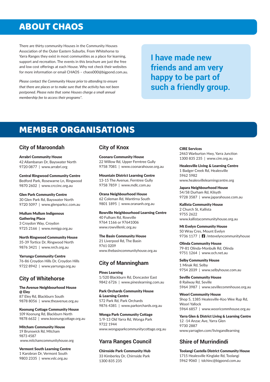#### ABOUT CHAOS

There are thirty community Houses in the Community Houses Association of the Outer Eastern Suburbs. From Whitehorse to Yarra Ranges they exist in most communities as a place for learning, support and recreation. The events in this brochure are just the free and low cost offerings at each House. Why not check their websites for more information or email CHAOS – chaos000@bigpond.com.au.

*Please contact the Community House prior to attending to ensure that there are places or to make sure that the activity has not been postponed. Please note that some Houses charge a small annual membership fee to access their programs\*.*

**I have made new friends and am very happy to be part of such a friendly group.**

#### MEMBER ORGANISATIONS

#### **City of Maroondah**

Arrabri Community House 42 Allambanan Dr, Bayswater North 9720 0877 | www.arrabri.org

Central Ringwood Community Centre Bedford Park, Rosewarne Ln, Ringwood 9870 2602 | www.crccinc.org.au

Glen Park Community Centre 30 Glen Park Rd, Bayswater North 9720 5097 | www.glenparkcc.com.au

Mullum Mullum Indigenous Gathering Place 3 Croydon Way, Croydon 9725 2166 | www.mmigp.org.au

North Ringwood Community House 35-39 Tortice Dr, Ringwood North 9876 3421 | www.nrch.org.au

Yarrunga Community Centre 76-86 Croydon Hills Dr, Croydon Hills 9722 8942 | www.yarrunga.org.au

#### **City of Whitehorse**

The Avenue Neighbourhood House @ Eley 87 Eley Rd, Blackburn South 9878 8056 | www.theavenue.org.au

Koonung Cottage Community House 109 Koonung Rd, Blackburn North 9878 6632 | www.koonungcottage.org.au

Mitcham Community House 19 Brunswick Rd, Mitcham 9873 4587 www.mitchamcommunityhouse.org

Vermont South Learning Centre 1 Karobran Dr, Vermont South 9803 2335 | www.vslc.org.au

#### **City of Knox**

Coonara Community House 22 Willow Rd, Upper Ferntree Gully 9758 7081 | www.coonarahouse.org.au

Mountain District Learning Centre 13-15 The Avenue, Ferntree Gully 9758 7859 | www.mdlc.com.au

Orana Neighbourhood House 62 Coleman Rd, Wantirna South 9801 1895 | www.orananh.org.au

Rowville Neighbourhood Learning Centre 40 Fulham Rd, Rowville 9764 1166 or 97641006 www.rowvillenlc.org.au

The Basin Community House 21 Liverpool Rd, The Basin 9761 0209 www.thebasincommunityhouse.org.au

#### **City of Manningham**

Pines Learning 1/520 Blackburn Rd, Doncaster East 9842 6726 | www.pineslearning.com.au

Park Orchards Community House & Learning Centre 572 Park Rd, Park Orchards 9876 4381 | www.parkorchards.org.au

Wonga Park Community Cottage 1/9-13 Old Yarra Rd, Wonga Park 9722 1944 www.wongaparkcommunitycottage.org.au

#### **Yarra Ranges Council**

Chirnside Park Community Hub 33 Kimberley Dr, Chirnside Park 1300 835 235

CIRE Services 2463 Warburton Hwy, Yarra Junction 1300 835 235 | www.cire.org.au

Healesville Living & Learning Centre 1 Badger Creek Rd, Healesville 5962 5982 www.healesvillelearningcentre.org

Japara Neighbourhood House 54/58 Durham Rd, Kilsyth 9728 3587 | www.japarahouse.com.au

Kallista Community House 2 Church St, Kallista 9755 2622 www.kallistacommunityhouse.org.au

Mt Evelyn Community House 50 Wray Cres, Mount Evelyn 9736 1177 | **1** /mtevelyncommunityhouse

Olinda Community House 79-81 Olinda-Monbulk Rd, Olinda 9751 1264 | www.och.net.au

Selby Community House 1 Minak Rd, Selby 9754 2039 | www.selbyhouse.com.au

Seville Community House 8 Railway Rd, Seville 5964 3987 | www.sevillecommhouse.org.au

Woori Community House Shop 5, 1385 Healesville-Koo Wee Rup Rd, Woori Yallock 5964 6857 | www.wooricommhouse.org.au

Yarra Glen & District Living & Learning Centre 12 -14 Anzac Ave, Yarra Glen 9730 2887 www.yarraglen.com/livingandlearning

#### **Shire of Murrindindi**

Toolangi Castella District Community House 1715 Healesville Kinglake Rd, Toolangi 5962 9060 | tdchinc@bigpond.com.au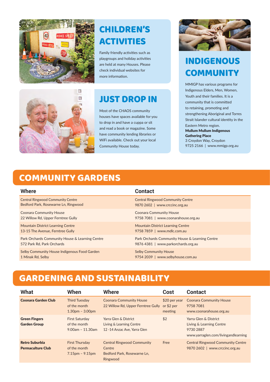![](_page_2_Picture_0.jpeg)

# CHILDREN'S ACTIVITIES

Family friendly activities such as playgroups and holiday activities are held at many Houses. Please check individual websites for more information.

![](_page_2_Picture_3.jpeg)

#### JUST DROP IN

Most of the CHAOS community houses have spaces available for you to drop in and have a cuppa or sit and read a book or magazine. Some have community lending libraries or WiFi available. Check out your local Community House today.

![](_page_2_Picture_6.jpeg)

## INDIGENOUS **COMMUNITY**

MMIGP has various programs for Indigenous Elders, Men, Women, Youth and their families. It is a community that is committed to retaining, promoting and strengthening Aboriginal and Torres Strait Islander cultural identity in the Eastern Metro region. Mullum Mullum Indigenous Gathering Place 3 Croydon Way, Croydon 9725 2166 | www.mmigp.org.au

## COMMUNITY GARDENS

| Where                                           | <b>Contact</b>                                  |
|-------------------------------------------------|-------------------------------------------------|
| <b>Central Ringwood Community Centre</b>        | <b>Central Ringwood Community Centre</b>        |
| Bedford Park, Rosewarne Ln, Ringwood            | 9870 2602   www.crccinc.org.au                  |
| <b>Coonara Community House</b>                  | <b>Coonara Community House</b>                  |
| 22 Willow Rd, Upper Ferntree Gully              | 9758 7081   www.coonarahouse.org.au             |
| <b>Mountain District Learning Centre</b>        | <b>Mountain District Learning Centre</b>        |
| 13-15 The Avenue, Ferntree Gully                | 9758 7859   www.mdlc.com.au                     |
| Park Orchards Community House & Learning Centre | Park Orchards Community House & Learning Centre |
| 572 Park Rd, Park Orchards                      | 9876 4381   www.parkorchards.org.au             |
| Selby Community House Indigenous Food Garden    | <b>Selby Community House</b>                    |
| 1 Minak Rd, Selby                               | 9754 2039   www.selbyhouse.com.au               |

#### GARDENING AND SUSTAINABILITY

| What                                              | When                                                        | <b>Where</b>                                                                           | Cost                                     | <b>Contact</b>                                                                                        |
|---------------------------------------------------|-------------------------------------------------------------|----------------------------------------------------------------------------------------|------------------------------------------|-------------------------------------------------------------------------------------------------------|
| <b>Coonara Garden Club</b>                        | <b>Third Tuesday</b><br>of the month<br>$1.30pm - 3.00pm$   | <b>Coonara Community House</b><br>22 Willow Rd, Upper Ferntree Gully                   | $$20$ per year<br>or $$2$ per<br>meeting | <b>Coonara Community House</b><br>9758 7081<br>www.coonarahouse.org.au                                |
| <b>Green Fingers</b><br><b>Garden Group</b>       | <b>First Saturday</b><br>of the month<br>$9.00am - 11.30am$ | Yarra Glen & District<br>Living & Learning Centre<br>12 -14 Anzac Ave, Yarra Glen      | \$2                                      | Yarra Glen & District<br>Living & Learning Centre<br>9730 2887<br>www.yarraglen.com/livingandlearning |
| <b>Retro Suburbia</b><br><b>Permaculture Club</b> | <b>First Thursday</b><br>of the month<br>$7.15pm - 9.15pm$  | <b>Central Ringwood Community</b><br>Centre<br>Bedford Park, Rosewarne Ln,<br>Ringwood | Free                                     | <b>Central Ringwood Community Centre</b><br>9870 2602   www.crccinc.org.au                            |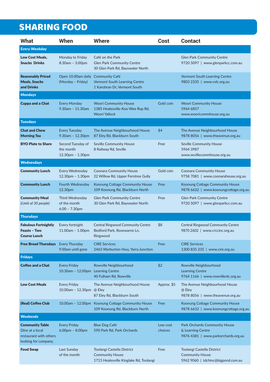## SHARING FOOD

| <b>What</b>                                                                                 | When                                                       | <b>Where</b>                                                                                   | <b>Cost</b>         | <b>Contact</b>                                                                             |
|---------------------------------------------------------------------------------------------|------------------------------------------------------------|------------------------------------------------------------------------------------------------|---------------------|--------------------------------------------------------------------------------------------|
| <b>Every Weekday</b>                                                                        |                                                            |                                                                                                |                     |                                                                                            |
| <b>Low Cost Meals,</b><br><b>Snacks Drinks</b>                                              | Monday to Friday<br>8.30am - 3.00pm                        | Café on the Park<br><b>Glen Park Community Centre</b><br>30 Glen Park Rd, Bayswater North      |                     | <b>Glen Park Community Centre</b><br>9720 5097   www.glenparkcc.com.au                     |
| <b>Reasonably Priced</b><br><b>Meals, Snacks</b><br>and Drinks                              | Open 10.00am daily Community Café<br>(Monday - Friday)     | <b>Vermont South Learning Centre</b><br>1 Karobran Dr, Vermont South                           |                     | Vermont South Learning Centre<br>9803 2335   www.vslc.org.au                               |
| <b>Mondays</b>                                                                              |                                                            |                                                                                                |                     |                                                                                            |
| <b>Cuppa and a Chat</b>                                                                     | <b>Every Monday</b><br>$9.30$ am - 11.30am                 | <b>Woori Community House</b><br>1385 Healesville-Koo Wee Rup Rd,<br><b>Woori Yallock</b>       | Gold coin           | <b>Woori Community House</b><br>5964 6857<br>www.wooricommhouse.org.au                     |
| <b>Tuesdays</b>                                                                             |                                                            |                                                                                                |                     |                                                                                            |
| <b>Chat and Chew</b><br><b>Morning Tea</b>                                                  | <b>Every Tuesday</b><br>$9.30am - 12.30pm$                 | The Avenue Neighbourhood House<br>87 Eley Rd, Blackburn South                                  | \$4                 | The Avenue Neighbourhood House<br>9878 8056   www.theavenue.org.au                         |
| <b>BYO Plate to Share</b>                                                                   | Second Tuesday of<br>the month<br>12.30pm - 1.30pm         | <b>Seville Community House</b><br>8 Railway Rd, Seville                                        | Free                | <b>Seville Community House</b><br>5964 3987<br>www.sevillecommhouse.org.au                 |
| <b>Wednesdays</b>                                                                           |                                                            |                                                                                                |                     |                                                                                            |
| <b>Community Lunch</b>                                                                      | <b>Every Wednesday</b><br>$12.30pm - 1.30pm$               | <b>Coonara Community House</b><br>22 Willow Rd, Upper Ferntree Gully                           | Gold coin           | <b>Coonara Community House</b><br>9758 7081   www.coonarahouse.org.au                      |
| <b>Community Lunch</b>                                                                      | <b>Fourth Wednesday</b><br>12.30pm                         | Koonung Cottage Community House<br>109 Koonung Rd, Blackburn North                             | Free                | Koonung Cottage Community House<br>9878 6632   www.koonungcottage.org.au                   |
| <b>Community Meal</b><br>(Limit of 30 people)                                               | <b>Third Wednesday</b><br>of the month<br>$6.00 - 7.30$ pm | <b>Glen Park Community Centre</b><br>30 Glen Park Rd, Bayswater North                          | Free                | <b>Glen Park Community Centre</b><br>9720 5097   www.glenparkcc.com.au                     |
| <b>Thursdays</b>                                                                            |                                                            |                                                                                                |                     |                                                                                            |
| <b>Fabulous Fortnightly</b><br>Feasts - Two<br><b>Course Lunch</b>                          | Every fortnight<br>$11.00am - 1.00pm$                      | <b>Central Ringwood Community Centre</b><br>Bedford Park, Rosewarne Ln,<br>Ringwood            | \$8                 | <b>Central Ringwood Community Centre</b><br>9870 2602   www.crccinc.org.au                 |
| <b>Free Bread Thursdays</b>                                                                 | <b>Every Thursday</b><br>9.00am until gone                 | <b>CIRE Services</b><br>2463 Warburton Hwy, Yarra Junction                                     | Free                | <b>CIRE Services</b><br>1300 835 235   www.cire.org.au                                     |
| <b>Fridays</b>                                                                              |                                                            |                                                                                                |                     |                                                                                            |
| <b>Coffee and a Chat</b>                                                                    | <b>Every Friday</b><br>10.30am - 12.00pm                   | Rowville Neighbourhood<br><b>Learning Centre</b><br>40 Fulham Rd, Rowville                     | \$2                 | Rowville Neighbourhood<br><b>Learning Centre</b><br>9764 1166   www.rowvillenlc.org.au     |
| <b>Low Cost Meals</b>                                                                       | <b>Every Friday</b><br>10.00am - 12.30pm                   | The Avenue Neighbourhood House<br>@ Eley<br>87 Eley Rd, Blackburn South                        | Approx. \$5         | The Avenue Neighbourhood House<br>@ Eley<br>9878 8056   www.theavenue.org.au               |
| (Real) Coffee Club                                                                          |                                                            | 10.00am - 12.00pm Koonung Cottage Community House<br>109 Koonung Rd, Blackburn North           | Free                | Koonung Cottage Community House<br>9878 6632   www.koonungcottage.org.au                   |
| <b>Weekends</b>                                                                             |                                                            |                                                                                                |                     |                                                                                            |
| <b>Community Table</b><br>Dine at a local<br>restaurant with others<br>looking for company. | <b>Every Friday</b><br>$6.00pm - 8.00pm$                   | <b>Blue Dog Café</b><br>590 Park Rd, Park Orchards                                             | Low cost<br>choices | Park Orchards Community House<br>& Learning Centre<br>9876 4381   www.parkorchards.org.au  |
| <b>Food Swap</b>                                                                            | Last Sunday<br>of the month                                | Toolangi Castella District<br><b>Community House</b><br>1715 Healesville Kinglake Rd, Toolangi | Free                | Toolangi Castella District<br><b>Community House</b><br>5962 9060   tdchinc@bigpond.com.au |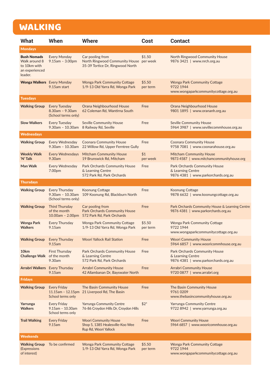# WALKING

| <b>What</b>                                                                      | When                                                               | <b>Where</b>                                                                                    | Cost               | <b>Contact</b>                                                                            |
|----------------------------------------------------------------------------------|--------------------------------------------------------------------|-------------------------------------------------------------------------------------------------|--------------------|-------------------------------------------------------------------------------------------|
| <b>Mondays</b>                                                                   |                                                                    |                                                                                                 |                    |                                                                                           |
| <b>Bush Nomads</b><br>Walk around 8<br>to 10km with<br>an experienced<br>leader. | <b>Every Monday</b><br>$9.15am - 3.00pm$                           | Car pooling from<br>North Ringwood Community House per week<br>35-39 Tortice Dr, Ringwood North | \$1.50             | <b>North Ringwood Community House</b><br>9876 3421   www.nrch.org.au                      |
| <b>Wonga Walkers</b> Every Monday                                                | 9.15am start                                                       | <b>Wonga Park Community Cottage</b><br>1/9-13 Old Yarra Rd, Wonga Park                          | \$5.50<br>per term | <b>Wonga Park Community Cottage</b><br>9722 1944<br>www.wongaparkcommunitycottage.org.au  |
| <b>Tuesdays</b>                                                                  |                                                                    |                                                                                                 |                    |                                                                                           |
| <b>Walking Group</b>                                                             | <b>Every Tuesday</b><br>$8.30am - 9.30am$<br>(School terms only)   | Orana Neighbourhood House<br>62 Coleman Rd, Wantirna South                                      | Free               | Orana Neighbourhood House<br>9801 1895   www.orananh.org.au                               |
| <b>Slow Walkers</b>                                                              | <b>Every Tuesday</b><br>$9.30$ am - 10.30am                        | <b>Seville Community House</b><br>8 Railway Rd, Seville                                         | Free               | <b>Seville Community House</b><br>5964 3987   www.sevillecommhouse.org.au                 |
| <b>Wednesdays</b>                                                                |                                                                    |                                                                                                 |                    |                                                                                           |
| <b>Walking Group</b>                                                             | Every Wednesday<br>$9.30$ am - 10.30am                             | <b>Coonara Community House</b><br>22 Willow Rd, Upper Ferntree Gully                            | Free               | <b>Coonara Community House</b><br>9758 7081   www.coonarahouse.org.au                     |
| <b>Weekly Walk</b><br>'N' Talk                                                   | <b>Every Wednesdays</b><br>9.30am                                  | <b>Mitcham Community House</b><br>19 Brunswick Rd, Mitcham                                      | \$1<br>per week    | <b>Mitcham Community House</b><br>9873 4587   www.mitchamcommunityhouse.org               |
| <b>Man Walk</b>                                                                  | Every Wednesday<br>7.00pm                                          | <b>Park Orchards Community House</b><br>& Learning Centre<br>572 Park Rd, Park Orchards         | Free               | Park Orchards Community House<br>& Learning Centre<br>9876 4381   www.parkorchards.org.au |
| <b>Thursdays</b>                                                                 |                                                                    |                                                                                                 |                    |                                                                                           |
| <b>Walking Group</b>                                                             | <b>Every Thursday</b><br>$9.30am - 10.30am$<br>(School terms only) | <b>Koonung Cottage</b><br>109 Koonung Rd, Blackburn North                                       | Free               | <b>Koonung Cottage</b><br>9878 6632   www.koonungcottage.org.au                           |
| <b>Walking Group</b>                                                             | <b>Third Thursday</b><br>of the month<br>$10.00am - 2.00pm$        | Car pooling from<br><b>Park Orchards Community House</b><br>572 Park Rd, Park Orchards          | Free               | Park Orchards Community House & Learning Centre<br>9876 4381   www.parkorchards.org.au    |
| <b>Wonga Park</b><br><b>Walkers</b>                                              | <b>Every Thursday</b><br>9.15am                                    | <b>Wonga Park Community Cottage</b><br>1/9-13 Old Yarra Rd, Wonga Park                          | \$5.50<br>per term | <b>Wonga Park Community Cottage</b><br>9722 1944<br>www.wongaparkcommunitycottage.org.au  |
| <b>Walking Group</b>                                                             | <b>Every Thursday</b><br>9.15am                                    | <b>Woori Yallock Rail Station</b>                                                               | Free               | <b>Woori Community House</b><br>5964 6857   www.wooricommhouse.org.au                     |
| 10km<br>Challenge Walk of the month                                              | <b>First Thursday</b><br>9.30am                                    | <b>Park Orchards Community House</b><br>& Learning Centre<br>572 Park Rd, Park Orchards         | Free               | Park Orchards Community House<br>& Learning Centre<br>9876 4381   www.parkorchards.org.au |
| <b>Arrabri Walkers</b> Every Thursday                                            | 9.15am                                                             | <b>Arrabri Community House</b><br>42 Allambanan Dr, Bayswater North                             | Free               | <b>Arrabri Community House</b><br>9720 0877   www.arrabri.org                             |
| <b>Fridays</b>                                                                   |                                                                    |                                                                                                 |                    |                                                                                           |
| <b>Walking Group</b>                                                             | <b>Every Friday</b><br>School terms only                           | The Basin Community House<br>11.15am - 12.15pm 21 Liverpool Rd, The Basin                       | Free               | The Basin Community House<br>97610209<br>www.thebasincommunityhouse.org.au                |
| Yarrunga<br><b>Walkers</b>                                                       | <b>Every Friday</b><br>9.15am - 10.30am<br>School terms only       | <b>Yarrunga Community Centre</b><br>76-86 Croydon Hills Dr, Croydon Hills                       | $$2^*$             | <b>Yarrunga Community Centre</b><br>9722 8942   www.yarrunga.org.au                       |
| <b>Trail Walking</b>                                                             | <b>Every Friday</b><br>9.15am                                      | <b>Woori Community House</b><br>Shop 5, 1385 Healesville-Koo Wee<br>Rup Rd, Woori Yallock       | Free               | <b>Woori Community House</b><br>5964 6857   www.wooricommhouse.org.au                     |
| <b>Weekends</b>                                                                  |                                                                    |                                                                                                 |                    |                                                                                           |
| <b>Walking Group</b><br>(Expressions<br>of interest)                             | To be confirmed                                                    | <b>Wonga Park Community Cottage</b><br>1/9-13 Old Yarra Rd, Wonga Park                          | \$5.50<br>per term | <b>Wonga Park Community Cottage</b><br>9722 1944<br>www.wongaparkcommunitycottage.org.au  |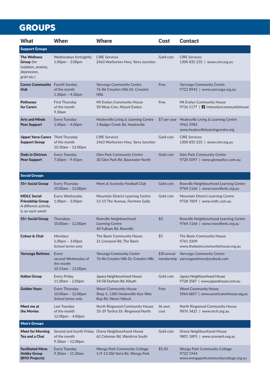## **GROUPS**

| <b>What</b>                                                                                   | When                                                              | <b>Where</b>                                                                              | Cost           | <b>Contact</b>                                                                         |
|-----------------------------------------------------------------------------------------------|-------------------------------------------------------------------|-------------------------------------------------------------------------------------------|----------------|----------------------------------------------------------------------------------------|
| <b>Support Groups</b>                                                                         |                                                                   |                                                                                           |                |                                                                                        |
| <b>The Wellness</b><br><b>Group</b> (for<br>isolation, anxiety,<br>depression,<br>grief etc.) | Wednesdays fortnightly<br>$1.00pm - 3.00pm$                       | <b>CIRE Services</b><br>2463 Warburton Hwy, Yarra Junction                                | Gold coin      | <b>CIRE Services</b><br>1300 835 235  <br>www.cire.org.au                              |
| <b>Carers Community</b> Fourth Sunday<br><b>Hub</b>                                           | of the month<br>$1.30pm - 4.30pm$                                 | Yarrunga Community Centre<br>76-86 Croydon Hills Dr, Croydon<br><b>Hills</b>              | Free           | Yarrunga Community Centre<br>9722 8942   www.yarrunga.org.au                           |
| <b>Pathways</b><br>for Carers                                                                 | <b>First Thursday</b><br>of the month<br>9.30am                   | Mt Evelyn Community House<br>50 Wray Cres, Mount Evelyn                                   | Free           | Mt Evelyn Community House<br>9736 1177   <b>1</b> / mtevelyncommunityhouse             |
| <b>Arts and Minds</b><br><b>Peer Support</b>                                                  | <b>Every Tuesday</b><br>$1.00pm - 4.00pm$                         | Healesville Living & Learning Centre<br>1 Badger Creek Rd, Healesville                    | \$7 per year   | Healesville Living & Learning Centre<br>5962 5982<br>www.healesvillelearningcentre.org |
| <b>Upper Yarra Carers</b> Third Thursday<br><b>Support Group</b>                              | of the month<br>10.30am - 12.00pm                                 | <b>CIRE Services</b><br>2463 Warburton Hwy, Yarra Junction                                | Gold coin      | <b>CIRE Services</b><br>1300 835 235   www.cire.org.au                                 |
| <b>Dads in Distress</b><br><b>Peer Support</b>                                                | <b>Every Tuesday</b><br>7.00pm - 9.45pm                           | <b>Glen Park Community Centre</b><br>30 Glen Park Rd, Bayswater North                     | Gold coin      | <b>Glen Park Community Centre</b><br>9720 5097   www.glenparkcc.com.au                 |
| <b>Social Groups</b>                                                                          |                                                                   |                                                                                           |                |                                                                                        |
| 55+ Social Group                                                                              | <b>Every Thursday</b><br>10.00am - 12.00pm                        | Meet at Scoresby Football Club                                                            | Gold coin      | Rowville Neighbourhood Learning Centre<br>9764 1166   www.rowvillenlc.org.au           |
| <b>MDLC Social</b><br><b>Friendship Group</b><br>A different activity<br>is on each week!     | Every Wednesday<br>$1.00pm - 3.00pm$                              | Mountain District Learning Centre<br>13-15 The Avenue, Ferntree Gully                     | Gold coin      | Mountain District Learning Centre<br>9758 7859   www.mdlc.com.au                       |
| 55+ Social Group                                                                              | Thursdays<br>10.00am - 12.00pm                                    | Rowville Neighbourhood<br><b>Learning Centre</b><br>40 Fulham Rd, Rowville                | \$3            | Rowville Neighbourhood Learning Centre<br>9764 1166   www.rowvillenlc.org.au           |
| <b>Colour &amp; Chat</b>                                                                      | Mondays<br>$1.00pm - 3.00pm$<br>School terms only                 | The Basin Community House<br>21 Liverpool Rd, The Basin                                   | \$5            | The Basin Community House<br>97610209<br>www.thebasincommunityhouse.org.au             |
| <b>Yarrunga Retirees</b>                                                                      | Every<br>second Wednesday of<br>the month<br>$10.15$ am - 12.00pm | <b>Yarrunga Community Centre</b><br>76-86 Croydon Hills Dr, Croydon Hills                 | \$30 annual    | Yarrunga Community Centre<br>membership yarrungaretirees@outlook.com                   |
| <b>Italian Group</b>                                                                          | <b>Every Friday</b><br>$11.00am - 2.00pm$                         | Japara Neighbourhood House<br>54/58 Durham Rd, Kilsyth                                    | Gold coin      | Japara Neighbourhood House<br>9728 3587   www.japarahouse.com.au                       |
| <b>Golden Years</b>                                                                           | <b>Every Thursday</b><br>10.00am - 12.00pm<br>School terms only   | <b>Woori Community House</b><br>Shop 5, 1385 Healesville-Koo Wee<br>Rup Rd, Woori Yallock | Free           | <b>Woori Community House</b><br>5964 6857   www.wooricommhouse.org.au                  |
| Meet me at<br>the Movies                                                                      | Last Tuesday<br>of the month<br>12.00pm - 4.00pm                  | North Ringwood Community House<br>35-39 Tortice Dr, Ringwood North                        | At own<br>cost | North Ringwood Community House<br>9876 3421   www.nrch.org.au                          |
| <b>Men's Groups</b>                                                                           |                                                                   |                                                                                           |                |                                                                                        |
| <b>Meet for Morning</b><br>Tea and a Chat                                                     | of the month<br>$9.30am - 12.00pm$                                | Second and fourth Friday Orana Neighbourhood House<br>62 Coleman Rd, Wantirna South       | Gold coin      | Orana Neighbourhood House<br>9801 1895   www.orananh.org.au                            |
| <b>Facilitated Mens</b><br><b>Hobby Group</b><br>(BYO Projects)                               | <b>Every Tuesday</b><br>$9.30$ am - 11.30am                       | <b>Wonga Park Community Cottage</b><br>1/9-13 Old Yarra Rd, Wonga Park                    | \$5.50         | Wonga Park Community Cottage<br>9722 1944<br>www.wongaparkcommunitycottage.org.au      |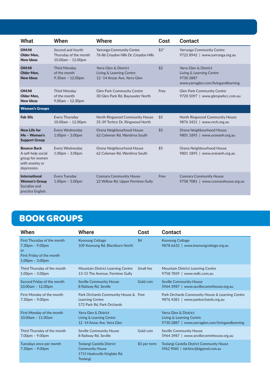| <b>What</b>                                                                                   | When                                                            | <b>Where</b>                                                                      | Cost   | <b>Contact</b>                                                                                        |
|-----------------------------------------------------------------------------------------------|-----------------------------------------------------------------|-----------------------------------------------------------------------------------|--------|-------------------------------------------------------------------------------------------------------|
| <b>OM:NI</b><br>Older Men,<br><b>New Ideas</b>                                                | Second and fourth<br>Thursday of the month<br>10.00am - 12.00pm | <b>Yarrunga Community Centre</b><br>76-86 Croydon Hills Dr, Croydon Hills         | $$2^*$ | <b>Yarrunga Community Centre</b><br>9722 8942   www.yarrunga.org.au                                   |
| <b>OM:NI</b><br>Older Men.<br><b>New Ideas</b>                                                | <b>Third Monday</b><br>of the month<br>$9.30$ am - 12.00pm      | Yarra Glen & District<br>Living & Learning Centre<br>12 -14 Anzac Ave, Yarra Glen | \$2    | Yarra Glen & District<br>Living & Learning Centre<br>9730 2887<br>www.yarraglen.com/livingandlearning |
| <b>OM:NI</b><br>Older Men,<br><b>New Ideas</b>                                                | <b>Third Monday</b><br>of the month<br>$9.00am - 12.30pm$       | <b>Glen Park Community Centre</b><br>30 Glen Park Rd, Bayswater North             | Free   | <b>Glen Park Community Centre</b><br>9720 5097   www.glenparkcc.com.au                                |
| <b>Women's Groups</b>                                                                         |                                                                 |                                                                                   |        |                                                                                                       |
| Fab 50s                                                                                       | <b>Every Thursday</b><br>10.00am - 12.00pm                      | North Ringwood Community House<br>35-39 Tortice Dr, Ringwood North                | \$5    | North Ringwood Community House<br>9876 3421   www.nrch.org.au                                         |
| <b>New Life for</b><br>Me - Women's<br><b>Support Group</b>                                   | <b>Every Wednesday</b><br>$1.00pm - 3.00pm$                     | Orana Neighbourhood House<br>62 Coleman Rd, Wantirna South                        | \$5    | Orana Neighbourhood House<br>9801 1895   www.orananh.org.au                                           |
| <b>Bounce Back</b><br>A self-help social<br>group for women<br>with anxiety or<br>depression. | Every Wednesday<br>$1.00pm - 3.00pm$                            | Orana Neighbourhood House<br>62 Coleman Rd, Wantirna South                        | \$5    | Orana Neighbourhood House<br>9801 1895   www.orananh.org.au                                           |
| <b>International</b><br><b>Women's Group</b><br>Socialize and<br>practice English.            | <b>Every Tuesday</b><br>$1.00pm - 3.00pm$                       | <b>Coonara Community House</b><br>22 Willow Rd, Upper Ferntree Gully              | Free   | <b>Coonara Community House</b><br>9758 7081   www.coonarahouse.org.au                                 |

## BOOK GROUPS

| When                                                                                                     | Where                                                                                                    | Cost         | <b>Contact</b>                                                                                       |
|----------------------------------------------------------------------------------------------------------|----------------------------------------------------------------------------------------------------------|--------------|------------------------------------------------------------------------------------------------------|
| First Thursday of the month<br>$7.30pm - 9.00pm$<br>or<br>First Friday of the month<br>$1.00pm - 3.00pm$ | <b>Koonung Cottage</b><br>109 Koonung Rd, Blackburn North                                                | \$4          | Koonung Cottage<br>9878 6632   www.koonungcottage.org.au                                             |
| Third Thursday of the month<br>$1.00pm - 3.00pm$                                                         | <b>Mountain District Learning Centre</b><br>13-15 The Avenue, Ferntree Gully                             | Small fee    | <b>Mountain District Learning Centre</b><br>9758 7859   www.mdlc.com.au                              |
| Second Friday of the month<br>10.00am - 12.00pm                                                          | <b>Seville Community House</b><br>8 Railway Rd, Seville                                                  | Gold coin    | <b>Seville Community House</b><br>5964 3987   www.sevillecommhouse.org.au                            |
| First Monday of the month<br>$7.30pm - 9.00pm$                                                           | Park Orchards Community House & Free<br><b>Learning Centre</b><br>572 Park Rd, Park Orchards             |              | Park Orchards Community House & Learning Centre<br>9876 4381   www.parkorchards.org.au               |
| First Monday of the month<br>10.00am - 11.00am                                                           | Yarra Glen & District<br>Living & Learning Centre<br>12 -14 Anzac Ave, Yarra Glen                        |              | Yarra Glen & District<br>Living & Learning Centre<br>9730 2887   www.yarraglen.com/livingandlearning |
| Third Thursday of the month<br>$7.00pm - 9.00pm$                                                         | <b>Seville Community House</b><br>8 Railway Rd, Seville                                                  | Gold coin    | <b>Seville Community House</b><br>5964 3987   www.sevillecommhouse.org.au                            |
| Tuesdays once per month<br>$7.30pm - 9.00pm$                                                             | Toolangi Castella District<br><b>Community House</b><br>1715 Healesville Kinglake Rd,<br><b>Toolangi</b> | \$5 per term | <b>Toolangi Castella District Community House</b><br>5962 9060   tdchinc@bigpond.com.au              |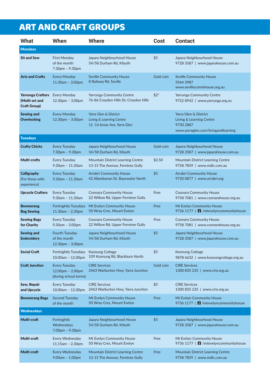# ART AND CRAFT GROUPS

| What                                                              | When                                                                | <b>Where</b>                                                                      | <b>Cost</b> | <b>Contact</b>                                                                                        |
|-------------------------------------------------------------------|---------------------------------------------------------------------|-----------------------------------------------------------------------------------|-------------|-------------------------------------------------------------------------------------------------------|
| <b>Mondays</b>                                                    |                                                                     |                                                                                   |             |                                                                                                       |
| <b>Sit and Sew</b>                                                | <b>First Monday</b><br>of the month<br>7.30pm - 9.30pm              | Japara Neighbourhood House<br>54/58 Durham Rd, Kilsyth                            | \$5         | Japara Neighbourhood House<br>9728 3587   www.japarahouse.com.au                                      |
| <b>Arts and Crafts</b>                                            | <b>Every Monday</b><br>11.30am - 3.00pm                             | <b>Seville Community House</b><br>8 Railway Rd, Seville                           | Gold coin   | <b>Seville Community House</b><br>59643987<br>www.sevillecommhouse.org.au                             |
| <b>Yarrunga Crafters</b><br>(Multi-art and<br><b>Craft Group)</b> | <b>Every Monday</b><br>12.30pm - 3.00pm                             | <b>Yarrunga Community Centre</b><br>76-86 Croydon Hills Dr, Croydon Hills         | $$2^*$      | <b>Yarrunga Community Centre</b><br>9722 8942   www.yarrunga.org.au                                   |
| <b>Sewing and</b><br><b>Overlocking</b>                           | <b>Every Monday</b><br>$12.30pm - 3.00pm$                           | Yarra Glen & District<br>Living & Learning Centre<br>12 -14 Anzac Ave, Yarra Glen |             | Yarra Glen & District<br>Living & Learning Centre<br>9730 2887<br>www.yarraglen.com/livingandlearning |
| <b>Tuesdays</b>                                                   |                                                                     |                                                                                   |             |                                                                                                       |
| <b>Crafty Chicks</b>                                              | <b>Every Tuesday</b><br>$7.30pm - 9.30pm$                           | Japara Neighbourhood House<br>54/58 Durham Rd, Kilsyth                            | Gold coin   | Japara Neighbourhood House<br>9728 3587   www.japarahouse.com.au                                      |
| Multi-crafts                                                      | <b>Every Tuesday</b><br>$9.30$ am - 11.30am                         | Mountain District Learning Centre<br>13-15 The Avenue, Ferntree Gully             | \$2.50      | Mountain District Learning Centre<br>9758 7859   www.mdlc.com.au                                      |
| Calligraphy<br>(For those with<br>experience)                     | <b>Every Tuesday</b><br>$9.30$ am - 11.30am                         | <b>Arrabri Community House</b><br>42 Allambanan Dr, Bayswater North               | \$5         | <b>Arrabri Community House</b><br>9720 0877   www.arrabri.org                                         |
| <b>Upcycle Crafters</b>                                           | Every Tuesday<br>$9.30$ am - 11.30am                                | <b>Coonara Community House</b><br>22 Willow Rd, Upper Ferntree Gully              | Free        | <b>Coonara Community House</b><br>9758 7081   www.coonarahouse.org.au                                 |
| <b>Boomerang</b><br><b>Bag Sewing</b>                             | <b>Fortnightly Tuesdays</b><br>11.30am - 2.30pm                     | Mt Evelyn Community House<br>50 Wray Cres, Mount Evelyn                           | Free        | Mt Evelyn Community House<br>9736 1177   $\blacksquare$ /mtevelyncommunityhouse                       |
| <b>Sewing Bags</b><br>for Charity                                 | Every Tuesday<br>$9.30am - 3.00pm$                                  | <b>Coonara Community House</b><br>22 Willow Rd, Upper Ferntree Gully              | Free        | <b>Coonara Community House</b><br>9758 7081   www.coonarahouse.org.au                                 |
| <b>Sewing and</b><br><b>Embroidery</b>                            | <b>Fourth Tuesday</b><br>of the month<br>$12.30pm - 3.00pm$         | Japara Neighbourhood House<br>54/58 Durham Rd, Kilsyth                            | \$5         | Japara Neighbourhood House<br>9728 3587   www.japarahouse.com.au                                      |
| <b>Social Craft</b>                                               | <b>Fortnightly Tuesdays</b><br>10.00am - 12.00pm                    | Koonung Cottage<br>109 Koonung Rd, Blackburn North                                | \$5         | Koonung Cottage<br>9878 6632   www.koonungcottage.org.au                                              |
| <b>Craft Junction</b>                                             | <b>Every Tuesday</b><br>$12.00pm - 2.00pm$<br>(during school terms) | <b>CIRE Services</b><br>2463 Warburton Hwy, Yarra Junction                        | Gold coin   | <b>CIRE Services</b><br>1300 835 235   www.cire.org.au                                                |
| <b>Sew, Repair</b><br>and Upcycle                                 | <b>Every Tuesday</b><br>10.00am - 12.00pm                           | <b>CIRE Services</b><br>2463 Warburton Hwy, Yarra Junction                        | \$5         | <b>CIRE Services</b><br>1300 835 235   www.cire.org.au                                                |
| <b>Boomerang Bags</b>                                             | Second Tuesday<br>of the month                                      | Mt Evelyn Community House<br>50 Wray Cres, Mount Evelyn                           | Free        | Mt Evelyn Community House<br>9736 1177   <b>1</b> /mtevelyncommunityhouse                             |
| <b>Wednesdays</b>                                                 |                                                                     |                                                                                   |             |                                                                                                       |
| Multi-craft                                                       | Fortnightly<br>Wednesdays<br>7.00pm - 9.30pm                        | Japara Neighbourhood House<br>54/58 Durham Rd, Kilsyth                            | \$5         | Japara Neighbourhood House<br>9728 3587   www.japarahouse.com.au                                      |
| Multi-craft                                                       | Every Wednesday<br>$11.15$ am - 2.30pm                              | Mt Evelyn Community House<br>50 Wray Cres, Mount Evelyn                           | Free        | Mt Evelyn Community House<br>9736 1177   <b>1</b> /mtevelyncommunityhouse                             |
| Multi-craft                                                       | Every Wednesday<br>$9.00am - 1.00pm$                                | <b>Mountain District Learning Centre</b><br>13-15 The Avenue, Ferntree Gully      | Free        | Mountain District Learning Centre<br>9758 7859   www.mdlc.com.au                                      |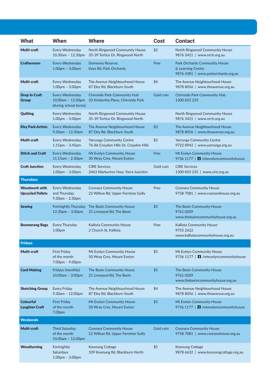| <b>What</b>                                     | When                                                          | <b>Where</b>                                                              | Cost      | <b>Contact</b>                                                                            |
|-------------------------------------------------|---------------------------------------------------------------|---------------------------------------------------------------------------|-----------|-------------------------------------------------------------------------------------------|
| Multi-craft                                     | Every Wednesday                                               | North Ringwood Community House                                            | \$2       | North Ringwood Community House                                                            |
|                                                 | 10.30am - 12.30pm                                             | 35-39 Tortice Dr, Ringwood North                                          |           | 9876 3421   www.nrch.org.au                                                               |
| <b>Crafternoon</b>                              | <b>Every Wednesday</b><br>$1.00pm - 3.00pm$                   | Domeney Reserve,<br>Keys Rd, Park Orchards                                | Free      | Park Orchards Community House<br>& Learning Centre<br>9876 4381   www.parkorchards.org.au |
| Multi-craft                                     | Every Wednesday<br>$1.00pm - 3.00pm$                          | The Avenue Neighbourhood House<br>87 Eley Rd, Blackburn South             | \$4       | The Avenue Neighbourhood House<br>9878 8056   www.theavenue.org.au                        |
| <b>Drop In Craft</b><br><b>Group</b>            | Every Wednesday<br>10.00am - 12.00pm<br>(during school terms) | <b>Chirnside Park Community Hub</b><br>33 Kimberley Place, Chirnside Park | Gold coin | <b>Chirnside Park Community Hub</b><br>1300 835 235                                       |
| <b>Quilting</b>                                 | Every Wednesday<br>$1.00pm - 3.00pm$                          | North Ringwood Community House<br>35-39 Tortice Dr, Ringwood North        |           | North Ringwood Community House<br>9876 3421   www.nrch.org.au                             |
| <b>Eley Park Artists</b>                        | <b>Every Wednesday</b><br>$9.30$ am - 12.30pm                 | The Avenue Neighbourhood House<br>87 Eley Rd, Blackburn South             | \$3       | The Avenue Neighbourhood House<br>9878 8056   www.theavenue.org.au                        |
| Multi-craft                                     | Every Wednesday<br>$1.15pm - 3.45pm$                          | <b>Yarrunga Community Centre</b><br>76-86 Croydon Hills Dr, Croydon Hills | \$2       | <b>Yarrunga Community Centre</b><br>9722 8942   www.yarrunga.org.au                       |
| <b>Stitch and Craft</b>                         | Every Wednesday<br>$11.15$ am - 2.30pm                        | Mt Evelyn Community House<br>50 Wray Cres, Mount Evelyn                   | Free      | Mt Evelyn Community House<br>9736 1177   <b>1</b> / mtevelyncommunityhouse                |
| <b>Craft Junction</b>                           | Every Wednesday<br>$1.00pm - 3.00pm$                          | <b>CIRE Services</b><br>2463 Warburton Hwy, Yarra Junction                | Gold coin | <b>CIRE Services</b><br>1300 835 235   www.cire.org.au                                    |
| <b>Thursdays</b>                                |                                                               |                                                                           |           |                                                                                           |
| <b>Woodwork with</b><br><b>Upcycled Pallets</b> | Every Wednesday<br>and Thursday<br>$9.30am - 2.30pm$          | <b>Coonara Community House</b><br>22 Willow Rd, Upper Ferntree Gully      | Free      | <b>Coonara Community House</b><br>9758 7081   www.coonarahouse.org.au                     |
| <b>Sewing</b>                                   | Fortnightly Thursday<br>12.30pm - 3.00pm                      | The Basin Community House<br>21 Liverpool Rd, The Basin                   | \$5       | The Basin Community House<br>97610209<br>www.thebasincommunityhouse.org.au                |
| <b>Boomerang Bags</b>                           | <b>Every Thursday</b><br>1.00pm                               | <b>Kallista Community House</b><br>2 Church St, Kallista                  | Free      | Kallista Community House<br>9755 2622<br>www.kallistacommunityhouse.org.au                |
| <b>Fridays</b>                                  |                                                               |                                                                           |           |                                                                                           |
| Multi-craft                                     | <b>First Friday</b><br>of the month<br>$7.00pm - 9.00pm$      | Mt Evelyn Community House<br>50 Wray Cres, Mount Evelyn                   | \$5       | Mt Evelyn Community House<br>9736 1177   <b>[1</b> /mtevelyncommunityhouse                |
| <b>Card Making</b>                              | Fridays (monthly)<br>$10.00am - 3.00pm$                       | The Basin Community House<br>21 Liverpool Rd, The Basin                   | \$5       | The Basin Community House<br>97610209<br>www.thebasincommunityhouse.org.au                |
| <b>Sketching Group</b>                          | <b>Every Friday</b><br>$9.30am - 12.00pm$                     | The Avenue Neighbourhood House<br>87 Eley Rd, Blackburn South             | \$4       | The Avenue Neighbourhood House<br>9878 8056   www.theavenue.org.au                        |
| <b>Colourful</b><br><b>Laughter Craft</b>       | <b>First Friday</b><br>of the month<br>7.00pm                 | Mt Evelyn Community House<br>50 Wray Cres, Mount Evelyn                   | \$5       | Mt Evelyn Community House<br>9736 1177   <b>3</b> / mtevelyncommunityhouse                |
| <b>Weekends</b>                                 |                                                               |                                                                           |           |                                                                                           |
| Multi-craft                                     | <b>Third Saturday</b><br>of the month<br>10.00am - 12.00pm    | <b>Coonara Community House</b><br>22 Willow Rd, Upper Ferntree Gully      | Gold coin | <b>Coonara Community House</b><br>9758 7081   www.coonarahouse.org.au                     |
| <b>Woodturning</b>                              | Fortnightly<br>Saturdays<br>$1.00pm - 3.00pm$                 | Koonung Cottage<br>109 Koonung Rd, Blackburn North                        | \$5       | Koonung Cottage<br>9878 6632   www.koonungcottage.org.au                                  |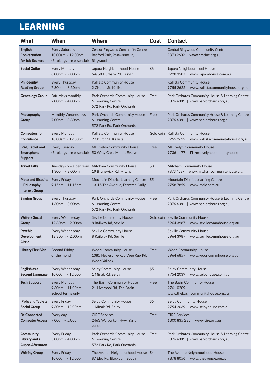# LEARNING

| What                                                               | When                                                                   | <b>Where</b>                                                                             | Cost | <b>Contact</b>                                                                         |
|--------------------------------------------------------------------|------------------------------------------------------------------------|------------------------------------------------------------------------------------------|------|----------------------------------------------------------------------------------------|
| <b>English</b><br><b>Conversation</b><br>for Job Seekers           | <b>Every Saturday</b><br>10.00am - 12.00pm<br>(Bookings are essential) | <b>Central Ringwood Community Centre</b><br>Bedford Park, Rosewarne Ln,<br>Ringwood      |      | <b>Central Ringwood Community Centre</b><br>9870 2602   www.crccinc.org.au             |
| <b>Social Guitar</b>                                               | Every Monday<br>8.00pm - 9.00pm                                        | Japara Neighbourhood House<br>54/58 Durham Rd, Kilsyth                                   | \$5  | Japara Neighbourhood House<br>9728 3587   www.japarahouse.com.au                       |
| <b>Philosophy</b><br><b>Reading Group</b>                          | <b>Every Thursday</b><br>7.30pm - 8.30pm                               | Kallista Community House<br>2 Church St, Kallista                                        |      | Kallista Community House<br>9755 2622   www.kallistacommunityhouse.org.au              |
| <b>Genealogy Group</b>                                             | Saturdays monthly<br>$2.00pm - 4.00pm$                                 | Park Orchards Community House<br>& Learning Centre<br>572 Park Rd, Park Orchards         | Free | Park Orchards Community House & Learning Centre<br>9876 4381   www.parkorchards.org.au |
| Photography<br>Group                                               | <b>Monthly Wednesdays</b><br>7.00pm - 8.30pm                           | Park Orchards Community House<br>& Learning Centre<br>572 Park Rd, Park Orchards         | Free | Park Orchards Community House & Learning Centre<br>9876 4381   www.parkorchards.org.au |
| <b>Computers for</b><br><b>Confidence</b>                          | Every Monday<br>10.00am - 12.00pm                                      | Kallista Community House<br>2 Church St, Kallista                                        |      | Gold coin Kallista Community House<br>9755 2622   www.kallistacommunityhouse.org.au    |
| iPad, Tablet and<br><b>Smartphone</b><br><b>Support</b>            | <b>Every Tuesday</b><br>(Bookings are essential)                       | Mt Evelyn Community House<br>50 Wray Cres, Mount Evelyn                                  | Free | Mt Evelyn Community House<br>9736 1177   <b>1</b> /mtevelyncommunityhouse              |
| <b>Travel Talks</b>                                                | Tuesdays once per term<br>$1.30pm - 3.00pm$                            | <b>Mitcham Community House</b><br>19 Brunswick Rd, Mitcham                               | \$3  | Mitcham Community House<br>9873 4587   www.mitchamcommunityhouse.org                   |
| <b>Plato and Biscuits</b><br>- Philosophy<br><b>Interest Group</b> | <b>Every Friday</b><br>$9.15$ am - 11.15am                             | Mountain District Learning Centre<br>13-15 The Avenue, Ferntree Gully                    | \$5  | Mountain District Learning Centre<br>9758 7859   www.mdlc.com.au                       |
| <b>Singing Group</b>                                               | <b>Every Thursday</b><br>$1.30pm - 3.00pm$                             | Park Orchards Community House<br>& Learning Centre<br>572 Park Rd, Park Orchards         | Free | Park Orchards Community House & Learning Centre<br>9876 4381   www.parkorchards.org.au |
| <b>Writers Social</b><br><b>Group</b>                              | Every Wednesday<br>12.30pm - 2.00pm                                    | <b>Seville Community House</b><br>8 Railway Rd, Seville                                  |      | Gold coin Seville Community House<br>5964 3987   www.sevillecommhouse.org.au           |
| <b>Psychic</b><br><b>Development</b><br>Circle                     | Every Wednesday<br>$12.30pm - 2.00pm$                                  | <b>Seville Community House</b><br>8 Railway Rd, Seville                                  |      | Seville Community House<br>5964 3987   www.sevillecommhouse.org.au                     |
| <b>Library Flexi Van</b>                                           | <b>Second Friday</b><br>of the month                                   | <b>Woori Community House</b><br>1385 Healesville-Koo Wee Rup Rd,<br><b>Woori Yallock</b> | Free | <b>Woori Community House</b><br>5964 6857   www.wooricommhouse.org.au                  |
| English as a<br><b>Second Language</b>                             | Every Wednesday<br>10.00am - 12.00pm                                   | <b>Selby Community House</b><br>1 Minak Rd, Selby                                        | \$5  | <b>Selby Community House</b><br>9754 2039   www.selbyhouse.com.au                      |
| <b>Tech Support</b>                                                | <b>Every Monday</b><br>$9.30$ am - 11.00am<br>School terms only        | The Basin Community House<br>21 Liverpool Rd, The Basin                                  | Free | The Basin Community House<br>97610209<br>www.thebasincommunityhouse.org.au             |
| <b>iPads and Tablets</b><br><b>Social Group</b>                    | <b>Every Friday</b><br>$9.30am - 12.00pm$                              | <b>Selby Community House</b><br>1 Minak Rd, Selby                                        | \$5  | <b>Selby Community House</b><br>9754 2039   www.selbyhouse.com.au                      |
| <b>Be Connected</b><br><b>Computer Access</b>                      | Every day<br>$9.00am - 5.00pm$                                         | <b>CIRE Services</b><br>2463 Warburton Hwy, Yarra<br>Junction                            | Free | <b>CIRE Services</b><br>1300 835 235   www.cire.org.au                                 |
| <b>Community</b><br>Library and a<br><b>Cuppa Afternoon</b>        | <b>Every Friday</b><br>$3.00pm - 4.00pm$                               | Park Orchards Community House<br>& Learning Centre<br>572 Park Rd, Park Orchards         | Free | Park Orchards Community House & Learning Centre<br>9876 4381   www.parkorchards.org.au |
| <b>Writing Group</b>                                               | <b>Every Friday</b><br>10.00am - 12.00pm                               | The Avenue Neighbourhood House \$4<br>87 Eley Rd, Blackburn South                        |      | The Avenue Neighbourhood House<br>9878 8056   www.theavenue.org.au                     |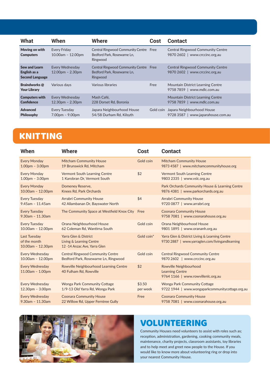| <b>What</b>                                             | When                                  | Where                                                                             | Cost | <b>Contact</b>                                                              |
|---------------------------------------------------------|---------------------------------------|-----------------------------------------------------------------------------------|------|-----------------------------------------------------------------------------|
| Moving on with<br><b>Computers</b>                      | Every Friday<br>10.00am - 12.00pm     | Central Ringwood Community Centre Free<br>Bedford Park, Rosewarne Ln,<br>Ringwood |      | <b>Central Ringwood Community Centre</b><br>www.crccinc.org.au<br>9870 2602 |
| Sew and Learn<br>English as a<br><b>Second Language</b> | Every Wednesday<br>$12.00pm - 2.30pm$ | Central Ringwood Community Centre Free<br>Bedford Park, Rosewarne Ln,<br>Ringwood |      | <b>Central Ringwood Community Centre</b><br>www.crccinc.org.au<br>9870 2602 |
| <b>Braindworks</b> @<br><b>Your Library</b>             | Various days                          | Various libraries                                                                 | Free | Mountain District Learning Centre<br>9758 7859   www.mdlc.com.au            |
| <b>Computers with</b><br><b>Confidence</b>              | Every Wednesday<br>$12.30pm - 2.30pm$ | Mash Café.<br>228 Dorset Rd. Boronia                                              |      | <b>Mountain District Learning Centre</b><br>www.mdlc.com.au<br>97587859     |
| <b>Advanced</b><br><b>Philosophy</b>                    | Every Tuesday<br>$7.00pm - 9.00pm$    | Japara Neighbourhood House<br>54/58 Durham Rd, Kilsyth                            |      | Gold coin Japara Neighbourhood House<br>www.japarahouse.com.au<br>9728 3587 |

### KNITTING

| When                                                     | <b>Where</b>                                                                      | <b>Cost</b> | <b>Contact</b>                                                                                    |
|----------------------------------------------------------|-----------------------------------------------------------------------------------|-------------|---------------------------------------------------------------------------------------------------|
| <b>Every Monday</b>                                      | <b>Mitcham Community House</b>                                                    | Gold coin   | <b>Mitcham Community House</b>                                                                    |
| $1.00pm - 3.00pm$                                        | 19 Brunswick Rd, Mitcham                                                          |             | 9873 4587   www.mitchamcommunityhouse.org                                                         |
| <b>Every Monday</b>                                      | <b>Vermont South Learning Centre</b>                                              | \$2         | <b>Vermont South Learning Centre</b>                                                              |
| $1.00pm - 3.00pm$                                        | 1 Karobran Dr, Vermont South                                                      |             | 9803 2335   www.vslc.org.au                                                                       |
| <b>Every Monday</b>                                      | Domeney Reserve,                                                                  |             | Park Orchards Community House & Learning Centre                                                   |
| $10.00am - 12.00pm$                                      | Knees Rd, Park Orchards                                                           |             | 9876 4381   www.parkorchards.org.au                                                               |
| <b>Every Tuesday</b>                                     | <b>Arrabri Community House</b>                                                    | \$4         | <b>Arrabri Community House</b>                                                                    |
| $9.45$ am - 11.45am                                      | 42 Allambanan Dr, Bayswater North                                                 |             | 9720 0877   www.arrabri.org                                                                       |
| <b>Every Tuesday</b><br>$9.30$ am - 11.30am              | The Community Space at Westfield Knox City Free                                   |             | <b>Coonara Community House</b><br>9758 7081   www.coonarahouse.org.au                             |
| <b>Every Tuesday</b>                                     | Orana Neighbourhood House                                                         | Gold coin   | Orana Neighbourhood House                                                                         |
| 10.00am - 12.00pm                                        | 62 Coleman Rd, Wantirna South                                                     |             | 9801 1895   www.orananh.org.au                                                                    |
| <b>Last Tuesday</b><br>of the month<br>10.00am - 12.30pm | Yarra Glen & District<br>Living & Learning Centre<br>12 -14 Anzac Ave, Yarra Glen | Gold coin*  | Yarra Glen & District Living & Learning Centre<br>9730 2887   www.yarraglen.com/livingandlearning |
| <b>Every Wednesday</b>                                   | <b>Central Ringwood Community Centre</b>                                          | Gold coin   | <b>Central Ringwood Community Centre</b>                                                          |
| $10.00am - 12.00pm$                                      | Bedford Park, Rosewarne Ln, Ringwood                                              |             | 9870 2602   www.crccinc.org.au                                                                    |
| <b>Every Wednesday</b><br>$11.00am - 1.00pm$             | Rowville Neighbourhood Learning Centre<br>40 Fulham Rd, Rowville                  | \$2         | Rowville Neighbourhood<br><b>Learning Centre</b><br>9764 1166   www.rowvillenlc.org.au            |
| <b>Every Wednesday</b>                                   | <b>Wonga Park Community Cottage</b>                                               | \$3.50      | <b>Wonga Park Community Cottage</b>                                                               |
| $12.30pm - 3.00pm$                                       | 1/9-13 Old Yarra Rd, Wonga Park                                                   | per week    | 9722 1944   www.wongaparkcommunitycottage.org.au                                                  |
| <b>Every Wednesday</b>                                   | <b>Coonara Community House</b>                                                    | Free        | <b>Coonara Community House</b>                                                                    |
| $9.30$ am - 11.30am                                      | 22 Willow Rd, Upper Ferntree Gully                                                |             | 9758 7081   www.coonarahouse.org.au                                                               |

![](_page_10_Picture_3.jpeg)

#### VOLUNTEERING

Community Houses need volunteers to assist with roles such as; reception, administration, gardening, cooking community meals, maintenance, charity projects, classroom assistants, toy libraries and to help meet and greet new people to the House. If you would like to know more about volunteering ring or drop into your nearest Community House.